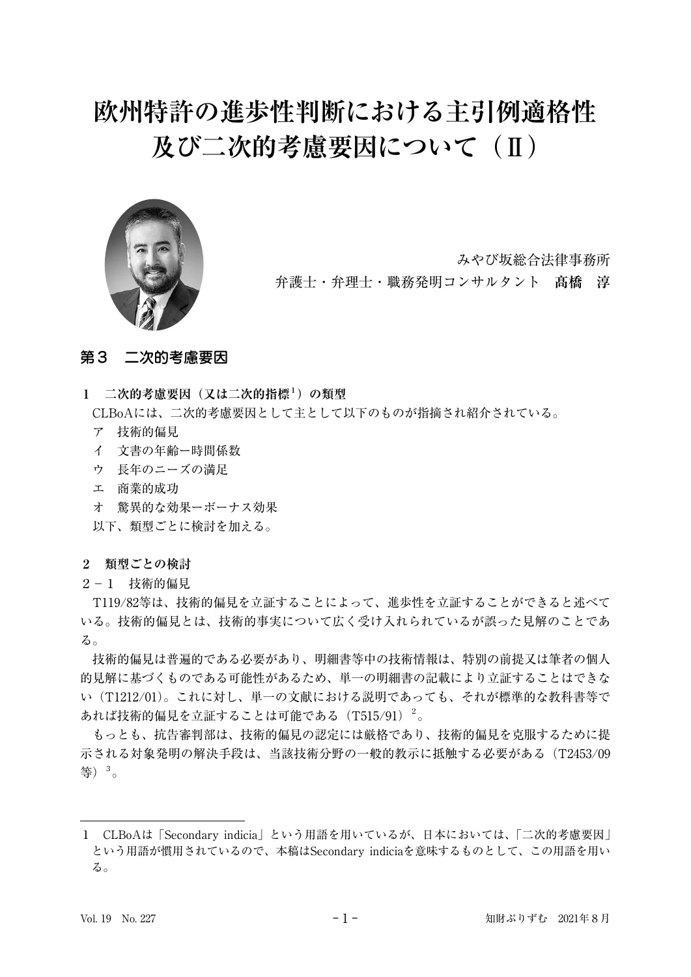# **欧州特許の進歩性判断における主引例適格性 及び二次的考慮要因について(Ⅱ)**



みやび坂総合法律事務所

弁護士・弁理士・職務発明コンサルタント **髙橋 淳**

# 第3 二次的考慮要因

**1 二次的考慮要因(又は二次的指標1)の類型**

CLBoAには、二次的考慮要因として主として以下のものが指摘され紹介されている。

- ア 技術的偏見
- イ 文書の年齢ー時間係数
- ウ 長年のニーズの満足
- エ 商業的成功
- オ 驚異的な効果ーボーナス効果

以下、類型ごとに検討を加える。

## **2 類型ごとの検討**

2-1 技術的偏見

T119/82等は、技術的偏見を立証することによって、進歩性を立証することができると述べて いる。技術的偏見とは、技術的事実について広く受け入れられているが誤った見解のことであ る。

技術的偏見は普遍的である必要があり、明細書等中の技術情報は、特別の前提又は筆者の個人 的見解に基づくものである可能性があるため、単一の明細書の記載により立証することはできな い(T1212/01)。これに対し、単一の文献における説明であっても、それが標準的な教科書等で あれば技術的偏見を立証することは可能である (T515/91) $^2$ 。

もっとも、抗告審判部は、技術的偏見の認定には厳格であり、技術的偏見を克服するために提 示される対象発明の解決手段は、当該技術分野の一般的教示に抵触する必要がある (T2453/09 等)3。

<sup>1</sup> CLBoAは「Secondary indicia」という用語を用いているが、日本においては、「二次的考慮要因」 という用語が慣用されているので、本稿はSecondary indiciaを意味するものとして、この用語を用い る。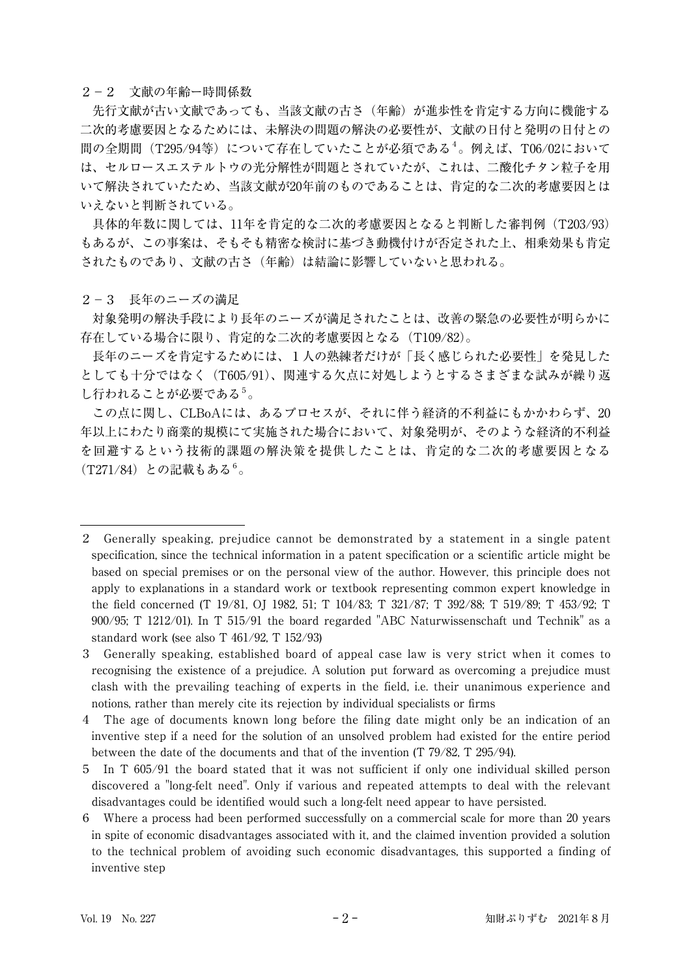#### 2-2 文献の年齢ー時間係数

先行文献が古い文献であっても、当該文献の古さ(年齢)が進歩性を肯定する方向に機能する 二次的考慮要因となるためには、未解決の問題の解決の必要性が、文献の日付と発明の日付との 間の全期間 (T295/94等) について存在していたことが必須である<sup>4</sup>。例えば、T06/02において は、セルロースエステルトウの光分解性が問題とされていたが、これは、二酸化チタン粒子を用 いて解決されていたため、当該文献が20年前のものであることは、肯定的な二次的考慮要因とは いえないと判断されている。

具体的年数に関しては、11年を肯定的な二次的考慮要因となると判断した審判例(T203/93) もあるが、この事案は、そもそも精密な検討に基づき動機付けが否定された上、相乗効果も肯定 されたものであり、文献の古さ(年齢)は結論に影響していないと思われる。

2-3 長年のニーズの満足

対象発明の解決手段により長年のニーズが満足されたことは、改善の緊急の必要性が明らかに 存在している場合に限り、肯定的な二次的考慮要因となる(T109/82)。

長年のニーズを肯定するためには、1人の熟練者だけが「長く感じられた必要性」を発見した としても十分ではなく (T605/91)、関連する欠点に対処しようとするさまざまな試みが繰り返 し行われることが必要である<sup>5</sup>。

この点に関し、CLBoAには、あるプロセスが、それに伴う経済的不利益にもかかわらず、20 年以上にわたり商業的規模にて実施された場合において、対象発明が、そのような経済的不利益 を回避するという技術的課題の解決策を提供したことは、肯定的な二次的考慮要因となる  $(T271/84)$  との記載もある<sup>6</sup>。

<sup>2</sup> Generally speaking, prejudice cannot be demonstrated by a statement in a single patent specification, since the technical information in a patent specification or a scientific article might be based on special premises or on the personal view of the author. However, this principle does not apply to explanations in a standard work or textbook representing common expert knowledge in the field concerned (T 19/81, OJ 1982, 51; T 104/83; T 321/87; T 392/88; T 519/89; T 453/92; T 900/95; T 1212/01). In T 515/91 the board regarded "ABC Naturwissenschaft und Technik" as a standard work (see also T 461/92, T 152/93)

<sup>3</sup> Generally speaking, established board of appeal case law is very strict when it comes to recognising the existence of a prejudice. A solution put forward as overcoming a prejudice must clash with the prevailing teaching of experts in the field, i.e. their unanimous experience and notions, rather than merely cite its rejection by individual specialists or firms

<sup>4</sup> The age of documents known long before the filing date might only be an indication of an inventive step if a need for the solution of an unsolved problem had existed for the entire period between the date of the documents and that of the invention (T 79/82, T 295/94).

<sup>5</sup> In T 605/91 the board stated that it was not sufficient if only one individual skilled person discovered a "long-felt need". Only if various and repeated attempts to deal with the relevant disadvantages could be identified would such a long-felt need appear to have persisted.

<sup>6</sup> Where a process had been performed successfully on a commercial scale for more than 20 years in spite of economic disadvantages associated with it, and the claimed invention provided a solution to the technical problem of avoiding such economic disadvantages, this supported a finding of inventive step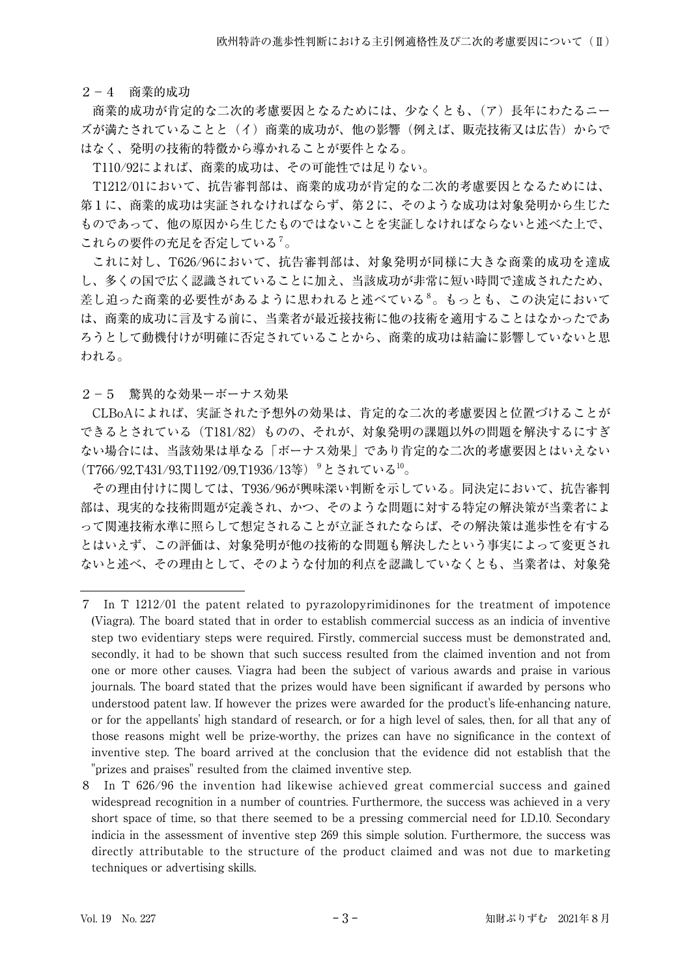2-4 商業的成功

商業的成功が肯定的な二次的考慮要因となるためには、少なくとも、(ア)長年にわたるニー ズが満たされていることと(イ)商業的成功が、他の影響(例えば、販売技術又は広告)からで はなく、発明の技術的特徴から導かれることが要件となる。

T110/92によれば、商業的成功は、その可能性では足りない。

T1212/01において、抗告審判部は、商業的成功が肯定的な二次的考慮要因となるためには、 第1に、商業的成功は実証されなければならず、第2に、そのような成功は対象発明から生じた ものであって、他の原因から生じたものではないことを実証しなければならないと述べた上で、 これらの要件の充足を否定している<sup>7</sup>。

これに対し、T626/96において、抗告審判部は、対象発明が同様に大きな商業的成功を達成 し、多くの国で広く認識されていることに加え、当該成功が非常に短い時間で達成されたため、 差し迫った商業的必要性があるように思われると述べている<sup>8</sup>。もっとも、この決定において は、商業的成功に言及する前に、当業者が最近接技術に他の技術を適用することはなかったであ ろうとして動機付けが明確に否定されていることから、商業的成功は結論に影響していないと思 われる。

2-5 驚異的な効果ーボーナス効果

CLBoAによれば、実証された予想外の効果は、肯定的な二次的考慮要因と位置づけることが できるとされている(T181/82)ものの、それが、対象発明の課題以外の問題を解決するにすぎ ない場合には、当該効果は単なる「ボーナス効果」であり肯定的な二次的考慮要因とはいえない (T766/92,T431/93,T1192/09,T1936/13等) <sup>9</sup>とされている<sup>10</sup>。

その理由付けに関しては、T936/96が興味深い判断を示している。同決定において、抗告審判 部は、現実的な技術問題が定義され、かつ、そのような問題に対する特定の解決策が当業者によ って関連技術水準に照らして想定されることが立証されたならば、その解決策は進歩性を有する とはいえず、この評価は、対象発明が他の技術的な問題も解決したという事実によって変更され ないと述べ、その理由として、そのような付加的利点を認識していなくとも、当業者は、対象発

<sup>7</sup> In T 1212/01 the patent related to pyrazolopyrimidinones for the treatment of impotence (Viagra). The board stated that in order to establish commercial success as an indicia of inventive step two evidentiary steps were required. Firstly, commercial success must be demonstrated and, secondly, it had to be shown that such success resulted from the claimed invention and not from one or more other causes. Viagra had been the subject of various awards and praise in various journals. The board stated that the prizes would have been significant if awarded by persons who understood patent law. If however the prizes were awarded for the product's life-enhancing nature, or for the appellants' high standard of research, or for a high level of sales, then, for all that any of those reasons might well be prize-worthy, the prizes can have no significance in the context of inventive step. The board arrived at the conclusion that the evidence did not establish that the "prizes and praises" resulted from the claimed inventive step.

<sup>8</sup> In T 626/96 the invention had likewise achieved great commercial success and gained widespread recognition in a number of countries. Furthermore, the success was achieved in a very short space of time, so that there seemed to be a pressing commercial need for I.D.10. Secondary indicia in the assessment of inventive step 269 this simple solution. Furthermore, the success was directly attributable to the structure of the product claimed and was not due to marketing techniques or advertising skills.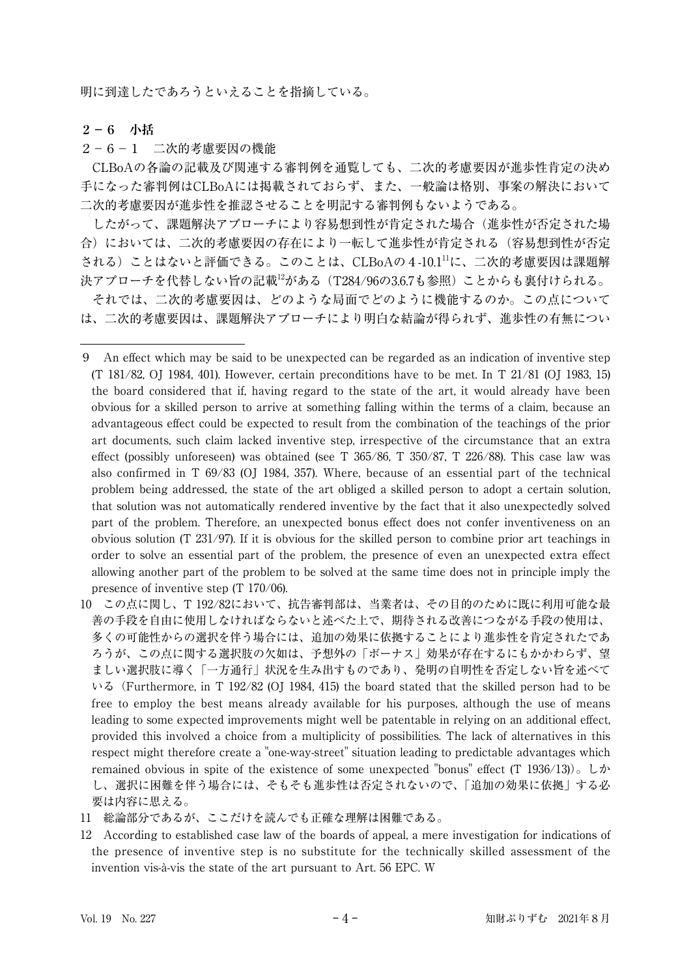明に到達したであろうといえることを指摘している。

## **2-6 小括**

2-6-1 二次的考慮要因の機能

CLBoAの各論の記載及び関連する審判例を通覧しても、二次的考慮要因が進歩性肯定の決め 手になった審判例はCLBoAには掲載されておらず、また、一般論は格別、事案の解決において 二次的考慮要因が進歩性を推認させることを明記する審判例もないようである。

したがって、課題解決アプローチにより容易想到性が肯定された場合(進歩性が否定された場 合)においては、二次的考慮要因の存在により一転して進歩性が肯定される(容易想到性が否定 される)ことはないと評価できる。このことは、CLBoAの4-10.111に、二次的考慮要因は課題解 決アプローチを代替しない旨の記載<sup>12</sup>がある (T284/96の3.6.7も参照) ことからも裏付けられる。 それでは、二次的考慮要因は、どのような局面でどのように機能するのか。この点について

は、二次的考慮要因は、課題解決アプローチにより明白な結論が得られず、進歩性の有無につい

10 この点に関し、T 192/82において、抗告審判部は、当業者は、その目的のために既に利用可能な最 善の手段を自由に使用しなければならないと述べた上で、期待される改善につながる手段の使用は、 多くの可能性からの選択を伴う場合には、追加の効果に依拠することにより進歩性を肯定されたであ ろうが、この点に関する選択肢の欠如は、予想外の「ボーナス」効果が存在するにもかかわらず、望 ましい選択肢に導く「一方通行」状況を生み出すものであり、発明の自明性を否定しない旨を述べて いる(Furthermore, in T 192/82 (OJ 1984, 415) the board stated that the skilled person had to be free to employ the best means already available for his purposes, although the use of means leading to some expected improvements might well be patentable in relying on an additional effect, provided this involved a choice from a multiplicity of possibilities. The lack of alternatives in this respect might therefore create a "one-way-street" situation leading to predictable advantages which remained obvious in spite of the existence of some unexpected "bonus" effect (T 1936/13))。しか し、選択に困難を伴う場合には、そもそも進歩性は否定されないので、「追加の効果に依拠」する必 要は内容に思える。

11 総論部分であるが、ここだけを読んでも正確な理解は困難である。

12 According to established case law of the boards of appeal, a mere investigation for indications of the presence of inventive step is no substitute for the technically skilled assessment of the invention vis-à-vis the state of the art pursuant to Art. 56 EPC. W

<sup>9</sup> An effect which may be said to be unexpected can be regarded as an indication of inventive step (T 181/82, OJ 1984, 401). However, certain preconditions have to be met. In T 21/81 (OJ 1983, 15) the board considered that if, having regard to the state of the art, it would already have been obvious for a skilled person to arrive at something falling within the terms of a claim, because an advantageous effect could be expected to result from the combination of the teachings of the prior art documents, such claim lacked inventive step, irrespective of the circumstance that an extra effect (possibly unforeseen) was obtained (see T  $365/86$ , T  $350/87$ , T  $226/88$ ). This case law was also confirmed in T 69/83 (OJ 1984, 357). Where, because of an essential part of the technical problem being addressed, the state of the art obliged a skilled person to adopt a certain solution, that solution was not automatically rendered inventive by the fact that it also unexpectedly solved part of the problem. Therefore, an unexpected bonus effect does not confer inventiveness on an obvious solution (T 231/97). If it is obvious for the skilled person to combine prior art teachings in order to solve an essential part of the problem, the presence of even an unexpected extra effect allowing another part of the problem to be solved at the same time does not in principle imply the presence of inventive step (T 170/06).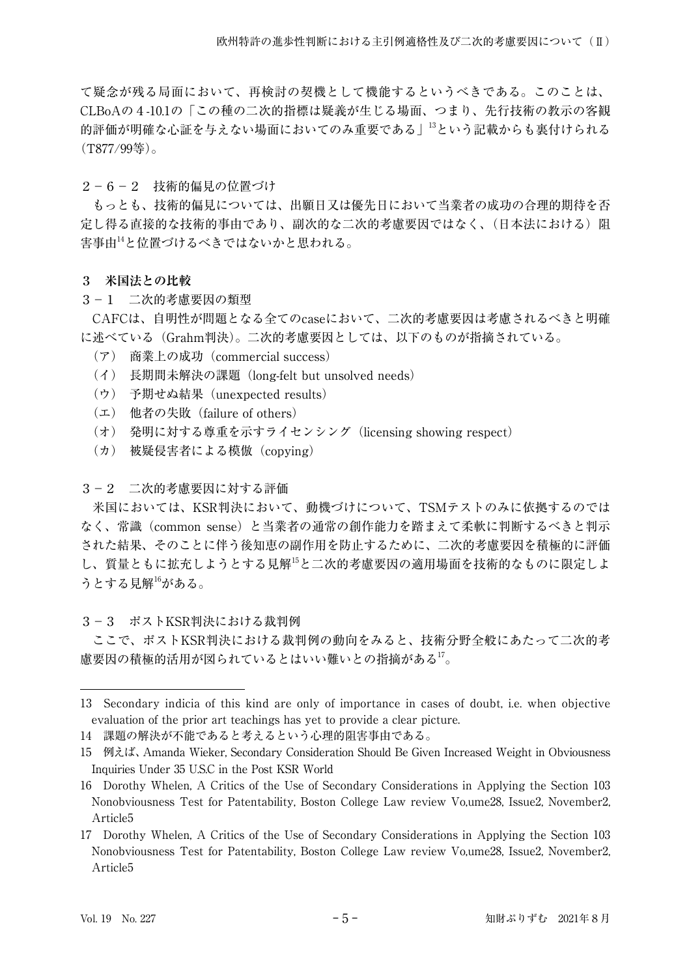て疑念が残る局面において、再検討の契機として機能するというべきである。このことは、 CLBoAの4-10.1の「この種の二次的指標は疑義が生じる場面、つまり、先行技術の教示の客観 的評価が明確な心証を与えない場面においてのみ重要である」13という記載からも裏付けられる (T877/99等)。

2-6-2 技術的偏見の位置づけ

もっとも、技術的偏見については、出願日又は優先日において当業者の成功の合理的期待を否 定し得る直接的な技術的事由であり、副次的な二次的考慮要因ではなく、(日本法における)阻 害事由14と位置づけるべきではないかと思われる。

- **3 米国法との比較**
- 3-1 二次的考慮要因の類型

CAFCは、自明性が問題となる全てのcaseにおいて、二次的考慮要因は考慮されるべきと明確 に述べている(Grahm判決)。二次的考慮要因としては、以下のものが指摘されている。

- (ア) 商業上の成功(commercial success)
- (イ) 長期間未解決の課題(long-felt but unsolved needs)
- (ウ) 予期せぬ結果(unexpected results)
- (エ) 他者の失敗(failure of others)
- (オ) 発明に対する尊重を示すライセンシング(licensing showing respect)
- (カ) 被疑侵害者による模倣(copying)

# 3-2 二次的考慮要因に対する評価

米国においては、KSR判決において、動機づけについて、TSMテストのみに依拠するのでは なく、常識(common sense)と当業者の通常の創作能力を踏まえて柔軟に判断するべきと判示 された結果、そのことに伴う後知恵の副作用を防止するために、二次的考慮要因を積極的に評価 し、質量ともに拡充しようとする見解15と二次的考慮要因の適用場面を技術的なものに限定しよ うとする見解16がある。

3-3 ポストKSR判決における裁判例

ここで、ポストKSR判決における裁判例の動向をみると、技術分野全般にあたって二次的考 慮要因の積極的活用が図られているとはいい難いとの指摘がある17。

<sup>13</sup> Secondary indicia of this kind are only of importance in cases of doubt, i.e. when objective evaluation of the prior art teachings has yet to provide a clear picture.

<sup>14</sup> 課題の解決が不能であると考えるという心理的阻害事由である。

<sup>15</sup> 例えば、Amanda Wieker, Secondary Consideration Should Be Given Increased Weight in Obviousness Inquiries Under 35 U.S.C in the Post KSR World

<sup>16</sup> Dorothy Whelen, A Critics of the Use of Secondary Considerations in Applying the Section 103 Nonobviousness Test for Patentability, Boston College Law review Vo,ume28, Issue2, November2, Article5

<sup>17</sup> Dorothy Whelen, A Critics of the Use of Secondary Considerations in Applying the Section 103 Nonobviousness Test for Patentability, Boston College Law review Vo,ume28, Issue2, November2, Article5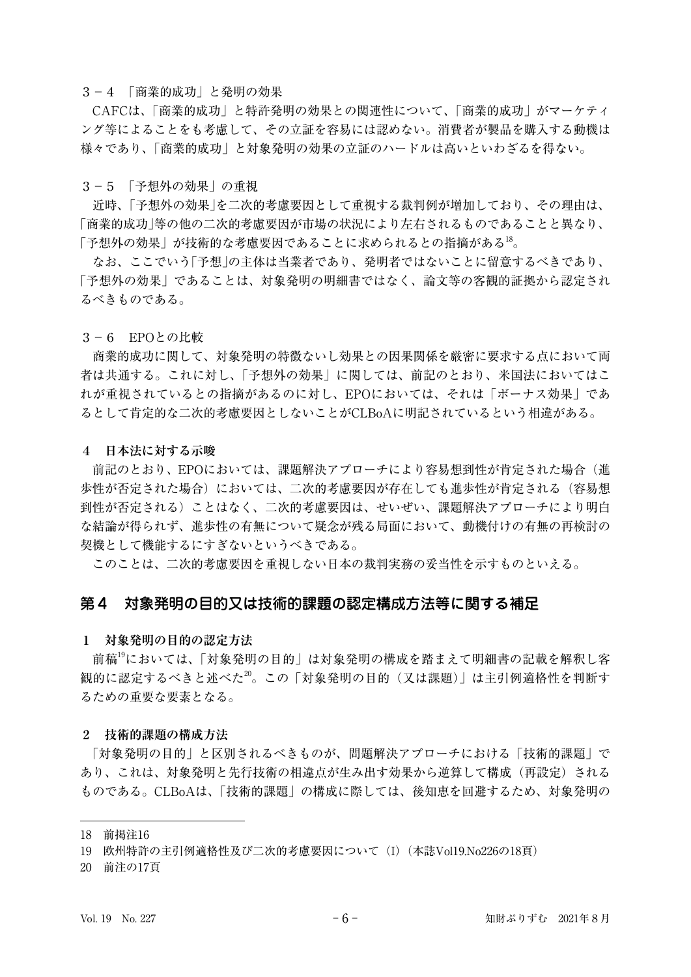#### 3-4 「商業的成功」と発明の効果

CAFCは、「商業的成功」と特許発明の効果との関連性について、「商業的成功」がマーケティ ング等によることをも考慮して、その立証を容易には認めない。消費者が製品を購入する動機は 様々であり、「商業的成功」と対象発明の効果の立証のハードルは高いといわざるを得ない。

3-5 「予想外の効果」の重視

近時、「予想外の効果」を二次的考慮要因として重視する裁判例が増加しており、その理由は、 「商業的成功」等の他の二次的考慮要因が市場の状況により左右されるものであることと異なり、 「予想外の効果」が技術的な考慮要因であることに求められるとの指摘がある<sup>18</sup>。

なお、ここでいう「予想」の主体は当業者であり、発明者ではないことに留意するべきであり、 「予想外の効果」であることは、対象発明の明細書ではなく、論文等の客観的証拠から認定され るべきものである。

#### 3-6 EPOとの比較

商業的成功に関して、対象発明の特徴ないし効果との因果関係を厳密に要求する点において両 者は共通する。これに対し、「予想外の効果」に関しては、前記のとおり、米国法においてはこ れが重視されているとの指摘があるのに対し、EPOにおいては、それは「ボーナス効果」であ るとして肯定的な二次的考慮要因としないことがCLBoAに明記されているという相違がある。

#### **4 日本法に対する示唆**

前記のとおり、EPOにおいては、課題解決アプローチにより容易想到性が肯定された場合(進 歩性が否定された場合)においては、二次的考慮要因が存在しても進歩性が肯定される(容易想 到性が否定される)ことはなく、二次的考慮要因は、せいぜい、課題解決アプローチにより明白 な結論が得られず、進歩性の有無について疑念が残る局面において、動機付けの有無の再検討の 契機として機能するにすぎないというべきである。

このことは、二次的考慮要因を重視しない日本の裁判実務の妥当性を示すものといえる。

## 第4 対象発明の目的又は技術的課題の認定構成方法等に関する補足

#### **1 対象発明の目的の認定方法**

前稿<sup>19</sup>においては、「対象発明の目的」は対象発明の構成を踏まえて明細書の記載を解釈し客 観的に認定するべきと述べた20。この「対象発明の目的(又は課題)」は主引例適格性を判断す るための重要な要素となる。

#### **2 技術的課題の構成方法**

「対象発明の目的」と区別されるべきものが、問題解決アプローチにおける「技術的課題」で あり、これは、対象発明と先行技術の相違点が生み出す効果から逆算して構成(再設定)される ものである。CLBoAは、「技術的課題」の構成に際しては、後知恵を回避するため、対象発明の

20 前注の17頁

<sup>18</sup> 前掲注16

<sup>19</sup> 欧州特許の主引例適格性及び二次的考慮要因について(I)(本誌Vol19.No226の18頁)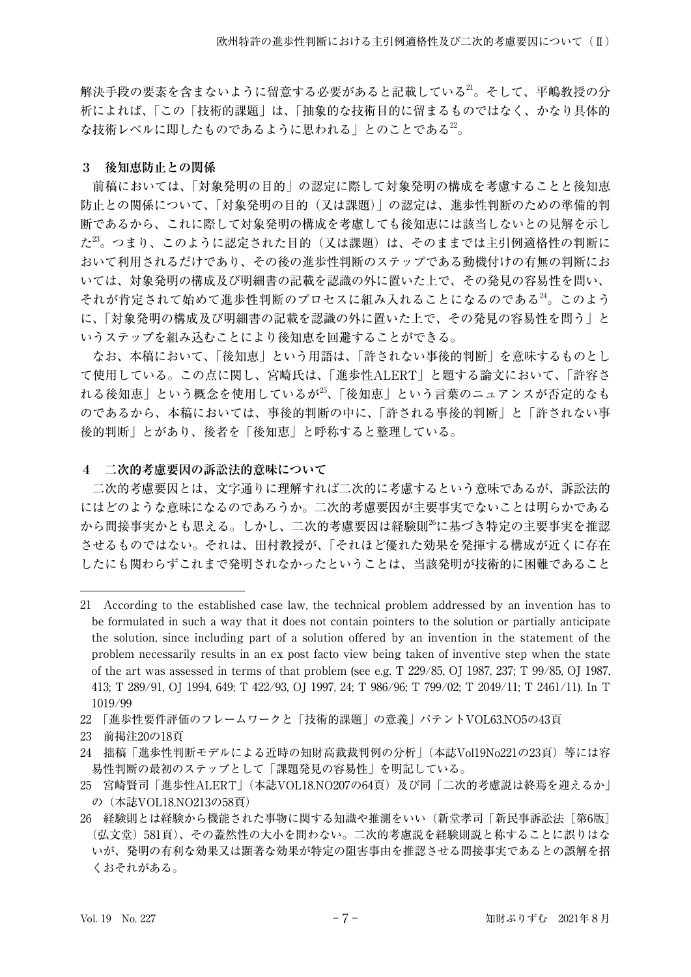解決手段の要素を含まないように留意する必要があると記載している21。そして、平嶋教授の分 析によれば、「この「技術的課題」は、「抽象的な技術目的に留まるものではなく、かなり具体的 な技術レベルに即したものであるように思われる」とのことである22。

## **3 後知恵防止との関係**

前稿においては、「対象発明の目的」の認定に際して対象発明の構成を考慮することと後知恵 防止との関係について、「対象発明の目的(又は課題)」の認定は、進歩性判断のための準備的判 断であるから、これに際して対象発明の構成を考慮しても後知恵には該当しないとの見解を示し た $^{23}$ 。つまり、このように認定された目的(又は課題)は、そのままでは主引例適格性の判断に おいて利用されるだけであり、その後の進歩性判断のステップである動機付けの有無の判断にお いては、対象発明の構成及び明細書の記載を認識の外に置いた上で、その発見の容易性を問い、 それが肯定されて始めて進歩性判断のプロセスに組み入れることになるのである24。このよう に、「対象発明の構成及び明細書の記載を認識の外に置いた上で、その発見の容易性を問う」と いうステップを組み込むことにより後知恵を回避することができる。

なお、本稿において、「後知恵」という用語は、「許されない事後的判断」を意味するものとし て使用している。この点に関し、宮崎氏は、「進歩性ALERT」と題する論文において、「許容さ れる後知恵」という概念を使用しているが25、「後知恵」という言葉のニュアンスが否定的なも のであるから、本稿においては、事後的判断の中に、「許される事後的判断」と「許されない事 後的判断」とがあり、後者を「後知恵」と呼称すると整理している。

## **4 二次的考慮要因の訴訟法的意味について**

二次的考慮要因とは、文字通りに理解すれば二次的に考慮するという意味であるが、訴訟法的 にはどのような意味になるのであろうか。二次的考慮要因が主要事実でないことは明らかである から間接事実かとも思える。しかし、二次的考慮要因は経験則<sup>26</sup>に基づき特定の主要事実を推認 させるものではない。それは、田村教授が、「それほど優れた効果を発揮する構成が近くに存在 したにも関わらずこれまで発明されなかったということは、当該発明が技術的に困難であること

23 前掲注20の18頁

<sup>21</sup> According to the established case law, the technical problem addressed by an invention has to be formulated in such a way that it does not contain pointers to the solution or partially anticipate the solution, since including part of a solution offered by an invention in the statement of the problem necessarily results in an ex post facto view being taken of inventive step when the state of the art was assessed in terms of that problem (see e.g. T 229/85, OJ 1987, 237; T 99/85, OJ 1987, 413; T 289/91, OJ 1994, 649; T 422/93, OJ 1997, 24; T 986/96; T 799/02; T 2049/11; T 2461/11). In T 1019/99

<sup>22 「</sup>進歩性要件評価のフレームワークと「技術的課題」の意義」パテントVOL63.NO5の43頁

<sup>24</sup> 拙稿「進歩性判断モデルによる近時の知財高裁裁判例の分析」(本誌Vol19No221の23頁)等には容 易性判断の最初のステップとして「課題発見の容易性」を明記している。

<sup>25</sup> 宮崎賢司「進歩性ALERT」(本誌VOL18.NO207の64頁)及び同「二次的考慮説は終焉を迎えるか」 の(本誌VOL18.NO213の58頁)

<sup>26</sup> 経験則とは経験から機能された事物に関する知識や推測をいい(新堂孝司「新民事訴訟法[第6版] (弘文堂)581頁)、その蓋然性の大小を問わない。二次的考慮説を経験則説と称することに誤りはな いが、発明の有利な効果又は顕著な効果が特定の阻害事由を推認させる間接事実であるとの誤解を招 くおそれがある。